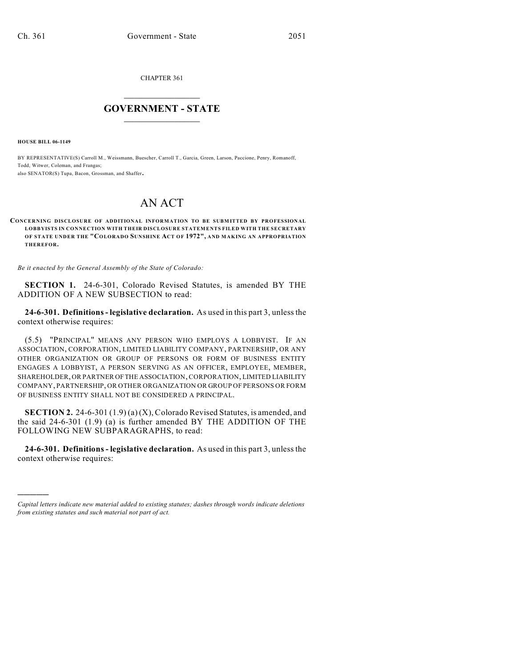CHAPTER 361

## $\overline{\phantom{a}}$  . The set of the set of the set of the set of the set of the set of the set of the set of the set of the set of the set of the set of the set of the set of the set of the set of the set of the set of the set o **GOVERNMENT - STATE**  $\_$

**HOUSE BILL 06-1149**

)))))

BY REPRESENTATIVE(S) Carroll M., Weissmann, Buescher, Carroll T., Garcia, Green, Larson, Paccione, Penry, Romanoff, Todd, Witwer, Coleman, and Frangas; also SENATOR(S) Tupa, Bacon, Grossman, and Shaffer.

## AN ACT

**CONCERNING DISCLOSURE OF ADDITIONAL INFORMATION TO BE SUBMITTED BY PROFESSIONAL LOBBYISTS IN CONNECTION WITH THEIR DISCLOSURE STATEMENTS FILED WITH THE SECRETARY OF STATE UNDER THE "COLORADO SUNSHINE ACT OF 1972", AND MAKING AN APPROPRIATION THEREFOR.**

*Be it enacted by the General Assembly of the State of Colorado:*

**SECTION 1.** 24-6-301, Colorado Revised Statutes, is amended BY THE ADDITION OF A NEW SUBSECTION to read:

**24-6-301. Definitions- legislative declaration.** As used in this part 3, unless the context otherwise requires:

(5.5) "PRINCIPAL" MEANS ANY PERSON WHO EMPLOYS A LOBBYIST. IF AN ASSOCIATION, CORPORATION, LIMITED LIABILITY COMPANY, PARTNERSHIP, OR ANY OTHER ORGANIZATION OR GROUP OF PERSONS OR FORM OF BUSINESS ENTITY ENGAGES A LOBBYIST, A PERSON SERVING AS AN OFFICER, EMPLOYEE, MEMBER, SHAREHOLDER, OR PARTNER OF THE ASSOCIATION, CORPORATION, LIMITED LIABILITY COMPANY, PARTNERSHIP, OR OTHER ORGANIZATION OR GROUP OF PERSONS OR FORM OF BUSINESS ENTITY SHALL NOT BE CONSIDERED A PRINCIPAL.

**SECTION 2.** 24-6-301 (1.9) (a) (X), Colorado Revised Statutes, is amended, and the said 24-6-301 (1.9) (a) is further amended BY THE ADDITION OF THE FOLLOWING NEW SUBPARAGRAPHS, to read:

**24-6-301. Definitions - legislative declaration.** As used in this part 3, unless the context otherwise requires:

*Capital letters indicate new material added to existing statutes; dashes through words indicate deletions from existing statutes and such material not part of act.*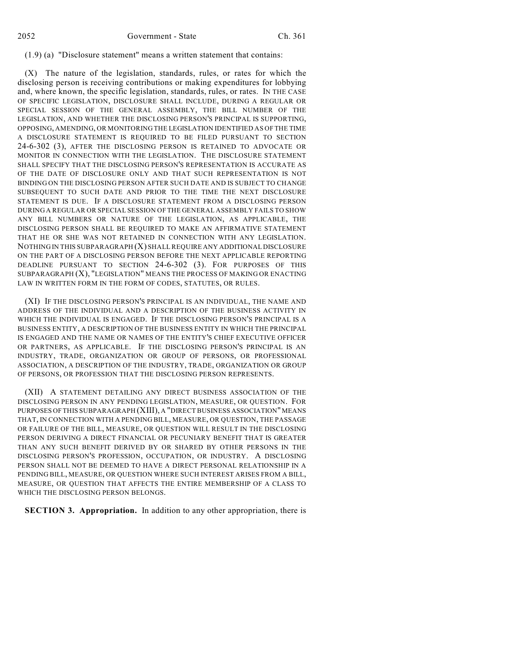## (1.9) (a) "Disclosure statement" means a written statement that contains:

(X) The nature of the legislation, standards, rules, or rates for which the disclosing person is receiving contributions or making expenditures for lobbying and, where known, the specific legislation, standards, rules, or rates. IN THE CASE OF SPECIFIC LEGISLATION, DISCLOSURE SHALL INCLUDE, DURING A REGULAR OR SPECIAL SESSION OF THE GENERAL ASSEMBLY, THE BILL NUMBER OF THE LEGISLATION, AND WHETHER THE DISCLOSING PERSON'S PRINCIPAL IS SUPPORTING, OPPOSING, AMENDING, OR MONITORING THE LEGISLATION IDENTIFIED AS OF THE TIME A DISCLOSURE STATEMENT IS REQUIRED TO BE FILED PURSUANT TO SECTION 24-6-302 (3), AFTER THE DISCLOSING PERSON IS RETAINED TO ADVOCATE OR MONITOR IN CONNECTION WITH THE LEGISLATION. THE DISCLOSURE STATEMENT SHALL SPECIFY THAT THE DISCLOSING PERSON'S REPRESENTATION IS ACCURATE AS OF THE DATE OF DISCLOSURE ONLY AND THAT SUCH REPRESENTATION IS NOT BINDING ON THE DISCLOSING PERSON AFTER SUCH DATE AND IS SUBJECT TO CHANGE SUBSEQUENT TO SUCH DATE AND PRIOR TO THE TIME THE NEXT DISCLOSURE STATEMENT IS DUE. IF A DISCLOSURE STATEMENT FROM A DISCLOSING PERSON DURING A REGULAR OR SPECIAL SESSION OF THE GENERAL ASSEMBLY FAILS TO SHOW ANY BILL NUMBERS OR NATURE OF THE LEGISLATION, AS APPLICABLE, THE DISCLOSING PERSON SHALL BE REQUIRED TO MAKE AN AFFIRMATIVE STATEMENT THAT HE OR SHE WAS NOT RETAINED IN CONNECTION WITH ANY LEGISLATION. NOTHING IN THIS SUBPARAGRAPH (X) SHALL REQUIRE ANY ADDITIONAL DISCLOSURE ON THE PART OF A DISCLOSING PERSON BEFORE THE NEXT APPLICABLE REPORTING DEADLINE PURSUANT TO SECTION 24-6-302 (3). FOR PURPOSES OF THIS SUBPARAGRAPH (X), "LEGISLATION" MEANS THE PROCESS OF MAKING OR ENACTING LAW IN WRITTEN FORM IN THE FORM OF CODES, STATUTES, OR RULES.

(XI) IF THE DISCLOSING PERSON'S PRINCIPAL IS AN INDIVIDUAL, THE NAME AND ADDRESS OF THE INDIVIDUAL AND A DESCRIPTION OF THE BUSINESS ACTIVITY IN WHICH THE INDIVIDUAL IS ENGAGED. IF THE DISCLOSING PERSON'S PRINCIPAL IS A BUSINESS ENTITY, A DESCRIPTION OF THE BUSINESS ENTITY IN WHICH THE PRINCIPAL IS ENGAGED AND THE NAME OR NAMES OF THE ENTITY'S CHIEF EXECUTIVE OFFICER OR PARTNERS, AS APPLICABLE. IF THE DISCLOSING PERSON'S PRINCIPAL IS AN INDUSTRY, TRADE, ORGANIZATION OR GROUP OF PERSONS, OR PROFESSIONAL ASSOCIATION, A DESCRIPTION OF THE INDUSTRY, TRADE, ORGANIZATION OR GROUP OF PERSONS, OR PROFESSION THAT THE DISCLOSING PERSON REPRESENTS.

(XII) A STATEMENT DETAILING ANY DIRECT BUSINESS ASSOCIATION OF THE DISCLOSING PERSON IN ANY PENDING LEGISLATION, MEASURE, OR QUESTION. FOR PURPOSES OF THIS SUBPARAGRAPH (XIII), A "DIRECT BUSINESS ASSOCIATION" MEANS THAT, IN CONNECTION WITH A PENDING BILL, MEASURE, OR QUESTION, THE PASSAGE OR FAILURE OF THE BILL, MEASURE, OR QUESTION WILL RESULT IN THE DISCLOSING PERSON DERIVING A DIRECT FINANCIAL OR PECUNIARY BENEFIT THAT IS GREATER THAN ANY SUCH BENEFIT DERIVED BY OR SHARED BY OTHER PERSONS IN THE DISCLOSING PERSON'S PROFESSION, OCCUPATION, OR INDUSTRY. A DISCLOSING PERSON SHALL NOT BE DEEMED TO HAVE A DIRECT PERSONAL RELATIONSHIP IN A PENDING BILL, MEASURE, OR QUESTION WHERE SUCH INTEREST ARISES FROM A BILL, MEASURE, OR QUESTION THAT AFFECTS THE ENTIRE MEMBERSHIP OF A CLASS TO WHICH THE DISCLOSING PERSON BELONGS.

**SECTION 3. Appropriation.** In addition to any other appropriation, there is